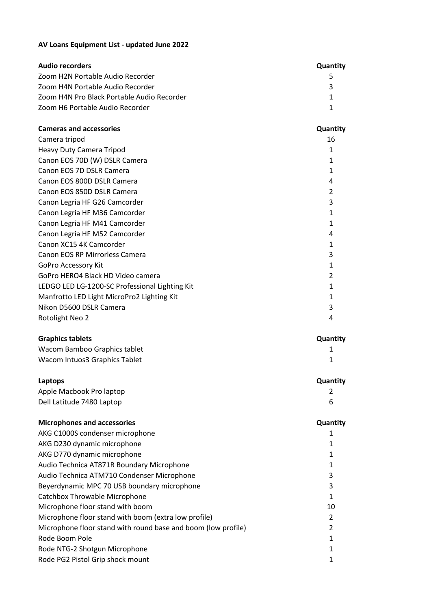## **AV Loans Equipment List - updated June 2022**

| <b>Audio recorders</b>                     | <b>Quantity</b> |
|--------------------------------------------|-----------------|
| Zoom H2N Portable Audio Recorder           |                 |
| Zoom H4N Portable Audio Recorder           |                 |
| Zoom H4N Pro Black Portable Audio Recorder |                 |
| Zoom H6 Portable Audio Recorder            |                 |

| <b>Cameras and accessories</b>                 | Quantity       |
|------------------------------------------------|----------------|
| Camera tripod                                  | 16             |
| Heavy Duty Camera Tripod                       | 1              |
| Canon EOS 70D (W) DSLR Camera                  | 1              |
| Canon EOS 7D DSLR Camera                       | 1              |
| Canon EOS 800D DSLR Camera                     | 4              |
| Canon EOS 850D DSLR Camera                     | 2              |
| Canon Legria HF G26 Camcorder                  | 3              |
| Canon Legria HF M36 Camcorder                  | 1              |
| Canon Legria HF M41 Camcorder                  | 1              |
| Canon Legria HF M52 Camcorder                  | 4              |
| Canon XC15 4K Camcorder                        | 1              |
| Canon EOS RP Mirrorless Camera                 | 3              |
| GoPro Accessory Kit                            | 1              |
| GoPro HERO4 Black HD Video camera              | $\mathfrak{p}$ |
| LEDGO LED LG-1200-SC Professional Lighting Kit |                |
| Manfrotto LED Light MicroPro2 Lighting Kit     |                |
| Nikon D5600 DSLR Camera                        |                |
| Rotolight Neo 2                                | 4              |

| <b>Graphics tablets</b>       | Quantity |
|-------------------------------|----------|
| Wacom Bamboo Graphics tablet  |          |
| Wacom Intuos3 Graphics Tablet |          |

| Laptops                   | Quantity |
|---------------------------|----------|
| Apple Macbook Pro laptop  |          |
| Dell Latitude 7480 Laptop |          |

| <b>Microphones and accessories</b>                            | Quantity      |
|---------------------------------------------------------------|---------------|
| AKG C1000S condenser microphone                               |               |
| AKG D230 dynamic microphone                                   |               |
| AKG D770 dynamic microphone                                   |               |
| Audio Technica AT871R Boundary Microphone                     |               |
| Audio Technica ATM710 Condenser Microphone                    | 3             |
| Beyerdynamic MPC 70 USB boundary microphone                   | 3             |
| Catchbox Throwable Microphone                                 |               |
| Microphone floor stand with boom                              | 10            |
| Microphone floor stand with boom (extra low profile)          | $\mathcal{P}$ |
| Microphone floor stand with round base and boom (low profile) |               |
| Rode Boom Pole                                                |               |
| Rode NTG-2 Shotgun Microphone                                 |               |
| Rode PG2 Pistol Grip shock mount                              |               |